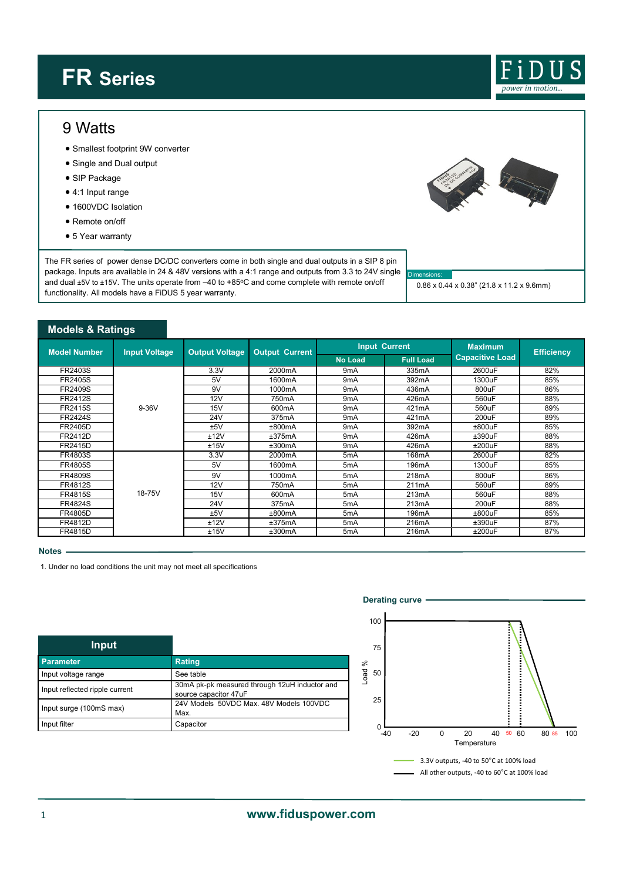# **FR Series**



### 9 Watts

- Smallest footprint 9W converter
- Single and Dual output
- SIP Package
- 4:1 Input range
- 1600VDC Isolation
- Remote on/off
- 5 Year warranty

The FR series of power dense DC/DC converters come in both single and dual outputs in a SIP 8 pin package. Inputs are available in 24 & 48V versions with a 4:1 range and outputs from 3.3 to 24V single and dual ±5V to ±15V. The units operate from -40 to +85°C and come complete with remote on/off functionality. All models have a FiDUS 5 year warranty.



#### **Notes**

1. Under no load conditions the unit may not meet all specifications

| Input                          |                                                                        |
|--------------------------------|------------------------------------------------------------------------|
| <b>Parameter</b>               | <b>Rating</b>                                                          |
| Input voltage range            | See table                                                              |
| Input reflected ripple current | 30mA pk-pk measured through 12uH inductor and<br>source capacitor 47uF |
| Input surge (100mS max)        | 24V Models 50VDC Max, 48V Models 100VDC<br>Max.                        |
| Input filter                   | Capacitor                                                              |



Dimensions:

0.86 x 0.44 x 0.38" (21.8 x 11.2 x 9.6mm)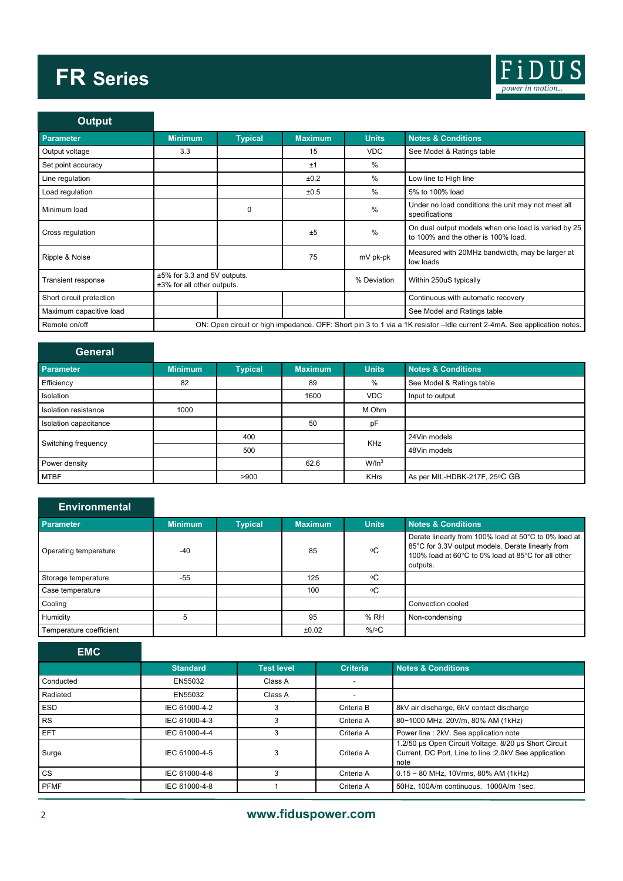# **FR Series**



| <b>Output</b>             |                                                                                                                          |                |                |                        |                                                                                            |
|---------------------------|--------------------------------------------------------------------------------------------------------------------------|----------------|----------------|------------------------|--------------------------------------------------------------------------------------------|
| <b>Parameter</b>          | <b>Minimum</b>                                                                                                           | <b>Typical</b> | <b>Maximum</b> | <b>Units</b>           | <b>Notes &amp; Conditions</b>                                                              |
| Output voltage            | 3.3                                                                                                                      |                | 15             | <b>VDC</b>             | See Model & Ratings table                                                                  |
| Set point accuracy        |                                                                                                                          |                | ±1             | $\%$                   |                                                                                            |
| Line regulation           |                                                                                                                          |                | ±0.2           | $\%$                   | Low line to High line                                                                      |
| Load regulation           |                                                                                                                          |                | ±0.5           | $\%$                   | 5% to 100% load                                                                            |
| Minimum load              |                                                                                                                          | $\Omega$       |                | %                      | Under no load conditions the unit may not meet all<br>specifications                       |
| Cross regulation          |                                                                                                                          |                | ±5             | %                      | On dual output models when one load is varied by 25<br>to 100% and the other is 100% load. |
| Ripple & Noise            |                                                                                                                          |                | 75             | mV pk-pk               | Measured with 20MHz bandwidth, may be larger at<br>low loads                               |
| <b>Transient response</b> | ±5% for 3.3 and 5V outputs.<br>±3% for all other outputs.                                                                |                | % Deviation    | Within 250uS typically |                                                                                            |
| Short circuit protection  |                                                                                                                          |                |                |                        | Continuous with automatic recovery                                                         |
| Maximum capacitive load   |                                                                                                                          |                |                |                        | See Model and Ratings table                                                                |
| Remote on/off             | ON: Open circuit or high impedance. OFF: Short pin 3 to 1 via a 1K resistor - Idle current 2-4mA. See application notes. |                |                |                        |                                                                                            |

| <b>General</b>        |                |                |         |                      |                               |
|-----------------------|----------------|----------------|---------|----------------------|-------------------------------|
| <b>Parameter</b>      | <b>Minimum</b> | <b>Typical</b> | Maximum | <b>Units</b>         | <b>Notes &amp; Conditions</b> |
| Efficiency            | 82             |                | 89      | %                    | See Model & Ratings table     |
| Isolation             |                |                | 1600    | <b>VDC</b>           | Input to output               |
| Isolation resistance  | 1000           |                |         | M Ohm                |                               |
| Isolation capacitance |                |                | 50      | pF                   |                               |
| Switching frequency   |                | 400            |         | <b>KHz</b>           | 24Vin models                  |
|                       |                | 500            |         |                      | 48Vin models                  |
| Power density         |                |                | 62.6    | $W/$ In <sup>3</sup> |                               |
| <b>MTBF</b>           |                | >900           |         | <b>KHrs</b>          | As per MIL-HDBK-217F, 25°C GB |

## **Environmental**

| Parameter               | <b>Minimum</b> | <b>Typical</b> | <b>Maximum</b> | <b>Units</b>    | <b>Notes &amp; Conditions</b>                                                                                                                                               |
|-------------------------|----------------|----------------|----------------|-----------------|-----------------------------------------------------------------------------------------------------------------------------------------------------------------------------|
| Operating temperature   | $-40$          |                | 85             | ۰C              | Derate linearly from 100% load at 50°C to 0% load at<br>85°C for 3.3V output models. Derate linearly from<br>100% load at 60°C to 0% load at 85°C for all other<br>outputs. |
| Storage temperature     | $-55$          |                | 125            | ٥C              |                                                                                                                                                                             |
| Case temperature        |                |                | 100            | ٥C              |                                                                                                                                                                             |
| Cooling                 |                |                |                |                 | Convection cooled                                                                                                                                                           |
| Humidity                |                |                | 95             | %RH             | Non-condensing                                                                                                                                                              |
| Temperature coefficient |                |                | ±0.02          | $%$ / $\circ$ C |                                                                                                                                                                             |

| <b>EMC</b>  |                 |                   |                 |                                                                                                                         |
|-------------|-----------------|-------------------|-----------------|-------------------------------------------------------------------------------------------------------------------------|
|             | <b>Standard</b> | <b>Test level</b> | <b>Criteria</b> | <b>Notes &amp; Conditions</b>                                                                                           |
| Conducted   | EN55032         | Class A           |                 |                                                                                                                         |
| Radiated    | EN55032         | Class A           |                 |                                                                                                                         |
| <b>ESD</b>  | IEC 61000-4-2   | 3                 | Criteria B      | 8kV air discharge, 6kV contact discharge                                                                                |
| <b>RS</b>   | IEC 61000-4-3   | 3                 | Criteria A      | 80~1000 MHz, 20V/m, 80% AM (1kHz)                                                                                       |
| <b>EFT</b>  | IEC 61000-4-4   | 3                 | Criteria A      | Power line : 2kV. See application note                                                                                  |
| Surge       | IEC 61000-4-5   | 3                 | Criteria A      | 1.2/50 µs Open Circuit Voltage, 8/20 µs Short Circuit<br>Current, DC Port, Line to line : 2.0kV See application<br>note |
| <b>CS</b>   | IEC 61000-4-6   | 3                 | Criteria A      | $0.15 \sim 80$ MHz, 10Vrms, 80% AM (1kHz)                                                                               |
| <b>PFMF</b> | IEC 61000-4-8   |                   | Criteria A      | 50Hz. 100A/m continuous. 1000A/m 1sec.                                                                                  |